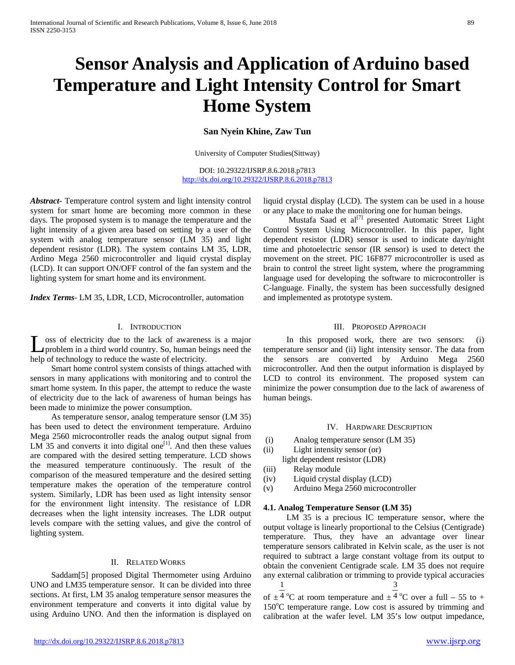# **Sensor Analysis and Application of Arduino based Temperature and Light Intensity Control for Smart Home System**

# **San Nyein Khine, Zaw Tun**

University of Computer Studies(Sittway)

DOI: 10.29322/IJSRP.8.6.2018.p7813 <http://dx.doi.org/10.29322/IJSRP.8.6.2018.p7813>

*Abstract***-** Temperature control system and light intensity control system for smart home are becoming more common in these days. The proposed system is to manage the temperature and the light intensity of a given area based on setting by a user of the system with analog temperature sensor (LM 35) and light dependent resistor (LDR). The system contains LM 35, LDR, Ardino Mega 2560 microcontroller and liquid crystal display (LCD). It can support ON/OFF control of the fan system and the lighting system for smart home and its environment.

*Index Terms*- LM 35, LDR, LCD, Microcontroller, automation

### I. INTRODUCTION

oss of electricity due to the lack of awareness is a major problem in a third world country. So, human beings need the **L** oss of electricity due to the lack of awareness<br>problem in a third world country. So, human bei<br>help of technology to reduce the waste of electricity.

 Smart home control system consists of things attached with sensors in many applications with monitoring and to control the smart home system. In this paper, the attempt to reduce the waste of electricity due to the lack of awareness of human beings has been made to minimize the power consumption.

 As temperature sensor, analog temperature sensor (LM 35) has been used to detect the environment temperature. Arduino Mega 2560 microcontroller reads the analog output signal from LM 35 and converts it into digital one<sup>[1]</sup>. And then these values are compared with the desired setting temperature. LCD shows the measured temperature continuously. The result of the comparison of the measured temperature and the desired setting temperature makes the operation of the temperature control system. Similarly, LDR has been used as light intensity sensor for the environment light intensity. The resistance of LDR decreases when the light intensity increases. The LDR output levels compare with the setting values, and give the control of lighting system.

## II. RELATED WORKS

 Saddam[5] proposed Digital Thermometer using Arduino UNO and LM35 temperature sensor. It can be divided into three sections. At first, LM 35 analog temperature sensor measures the environment temperature and converts it into digital value by using Arduino UNO. And then the information is displayed on

liquid crystal display (LCD). The system can be used in a house or any place to make the monitoring one for human beings.

Mustafa Saad et al $^{[7]}$  presented Automatic Street Light Control System Using Microcontroller. In this paper, light dependent resistor (LDR) sensor is used to indicate day/night time and photoelectric sensor (IR sensor) is used to detect the movement on the street. PIC 16F877 microcontroller is used as brain to control the street light system, where the programming language used for developing the software to microcontroller is C-language. Finally, the system has been successfully designed and implemented as prototype system.

## III. PROPOSED APPROACH

 In this proposed work, there are two sensors: (i) temperature sensor and (ii) light intensity sensor. The data from the sensors are converted by Arduino Mega 2560 microcontroller. And then the output information is displayed by LCD to control its environment. The proposed system can minimize the power consumption due to the lack of awareness of human beings.

#### IV. HARDWARE DESCRIPTION

- (i) Analog temperature sensor (LM 35)
- (ii) Light intensity sensor (or)

light dependent resistor (LDR)

- (iii) Relay module
- (iv) Liquid crystal display (LCD)
- (v) Arduino Mega 2560 microcontroller

#### **4.1. Analog Temperature Sensor (LM 35)**

 LM 35 is a precious IC temperature sensor, where the output voltage is linearly proportional to the Celsius (Centigrade) temperature. Thus, they have an advantage over linear temperature sensors calibrated in Kelvin scale, as the user is not required to subtract a large constant voltage from its output to obtain the convenient Centigrade scale. LM 35 does not require any external calibration or trimming to provide typical accuracies 1 3

of  $\pm$  4 °C at room temperature and  $\pm$  4 °C over a full – 55 to + 150°C temperature range. Low cost is assured by trimming and calibration at the wafer level. LM 35's low output impedance,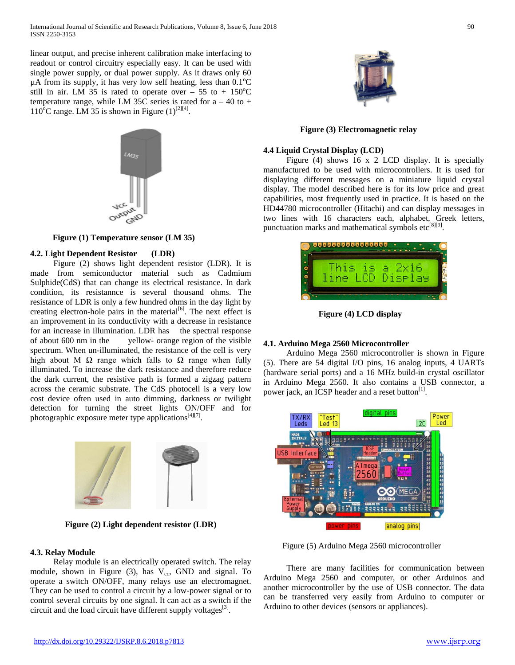linear output, and precise inherent calibration make interfacing to readout or control circuitry especially easy. It can be used with single power supply, or dual power supply. As it draws only 60  $\mu$ A from its supply, it has very low self heating, less than 0.1°C still in air. LM 35 is rated to operate over – 55 to +  $150^{\circ}$ C temperature range, while LM 35C series is rated for  $a - 40$  to  $+$ 110<sup>o</sup>C range. LM 35 is shown in Figure  $(1)^{[2][4]}$ .



**Figure (1) Temperature sensor (LM 35)**

# **4.2. Light Dependent Resistor (LDR)**

 Figure (2) shows light dependent resistor (LDR). It is made from semiconductor material such as Cadmium Sulphide(CdS) that can change its electrical resistance. In dark condition, its resistannce is several thousand ohms. The resistance of LDR is only a few hundred ohms in the day light by creating electron-hole pairs in the material<sup>[6]</sup>. The next effect is an improvement in its conductivity with a decrease in resistance for an increase in illumination. LDR has the spectral response of about 600 nm in the yellow- orange region of the visible spectrum. When un-illuminated, the resistance of the cell is very high about M  $\Omega$  range which falls to  $\Omega$  range when fully illuminated. To increase the dark resistance and therefore reduce the dark current, the resistive path is formed a zigzag pattern across the ceramic substrate. The CdS photocell is a very low cost device often used in auto dimming, darkness or twilight detection for turning the street lights ON/OFF and for photographic exposure meter type applications<sup>[4][7]</sup>.



**Figure (2) Light dependent resistor (LDR)**

# **4.3. Relay Module**

 Relay module is an electrically operated switch. The relay module, shown in Figure (3), has  $V_{cc}$ , GND and signal. To operate a switch ON/OFF, many relays use an electromagnet. They can be used to control a circuit by a low-power signal or to control several circuits by one signal. It can act as a switch if the circuit and the load circuit have different supply voltages $^{[3]}$ .



**Figure (3) Electromagnetic relay**

# **4.4 Liquid Crystal Display (LCD)**

 Figure (4) shows 16 x 2 LCD display. It is specially manufactured to be used with microcontrollers. It is used for displaying different messages on a miniature liquid crystal display. The model described here is for its low price and great capabilities, most frequently used in practice. It is based on the HD44780 microcontroller (Hitachi) and can display messages in two lines with 16 characters each, alphabet, Greek letters, punctuation marks and mathematical symbols  $etc^{[8][9]}$ .

| This |         |  |
|------|---------|--|
| ine  | Diselay |  |
|      |         |  |

**Figure (4) LCD display**

# **4.1. Arduino Mega 2560 Microcontroller**

 Arduino Mega 2560 microcontroller is shown in Figure (5). There are 54 digital I/O pins, 16 analog inputs, 4 UARTs (hardware serial ports) and a 16 MHz build-in crystal oscillator in Arduino Mega 2560. It also contains a USB connector, a power jack, an ICSP header and a reset button $<sup>[1]</sup>$ .</sup>



Figure (5) Arduino Mega 2560 microcontroller

 There are many facilities for communication between Arduino Mega 2560 and computer, or other Arduinos and another microcontroller by the use of USB connector. The data can be transferred very easily from Arduino to computer or Arduino to other devices (sensors or appliances).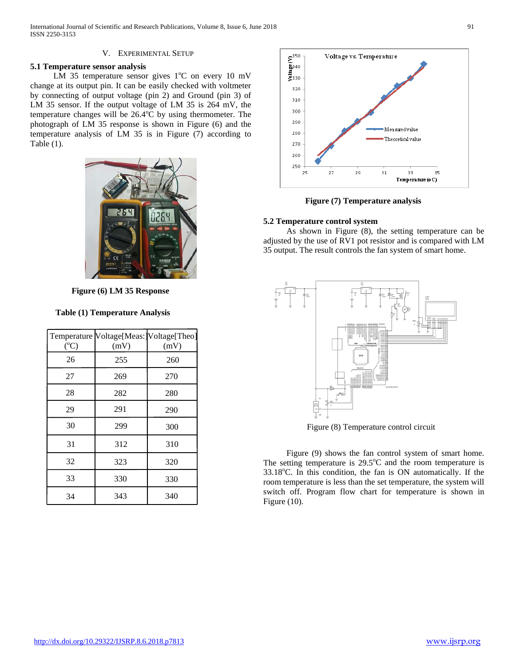# V. EXPERIMENTAL SETUP

# **5.1 Temperature sensor analysis**

LM 35 temperature sensor gives  $1^{\circ}$ C on every 10 mV change at its output pin. It can be easily checked with voltmeter by connecting of output voltage (pin 2) and Ground (pin 3) of LM 35 sensor. If the output voltage of LM 35 is 264 mV, the temperature changes will be  $26.4^{\circ}$ C by using thermometer. The photograph of LM 35 response is shown in Figure (6) and the temperature analysis of LM 35 is in Figure (7) according to Table (1).



**Figure (6) LM 35 Response**

# **Table (1) Temperature Analysis**

| $({}^{\circ}C)$ | Temperature Voltage[Meas: Voltage[Theo]<br>(mV) | (mV) |
|-----------------|-------------------------------------------------|------|
| 26              | 255                                             | 260  |
| 27              | 269                                             | 270  |
| 28              | 282                                             | 280  |
| 29              | 291                                             | 290  |
| 30              | 299                                             | 300  |
| 31              | 312                                             | 310  |
| 32              | 323                                             | 320  |
| 33              | 330                                             | 330  |
| 34              | 343                                             | 340  |



**Figure (7) Temperature analysis**

# **5.2 Temperature control system**

 As shown in Figure (8), the setting temperature can be adjusted by the use of RV1 pot resistor and is compared with LM 35 output. The result controls the fan system of smart home.



Figure (8) Temperature control circuit

 Figure (9) shows the fan control system of smart home. The setting temperature is  $29.5^{\circ}$ C and the room temperature is 33.18°C. In this condition, the fan is ON automatically. If the room temperature is less than the set temperature, the system will switch off. Program flow chart for temperature is shown in Figure (10).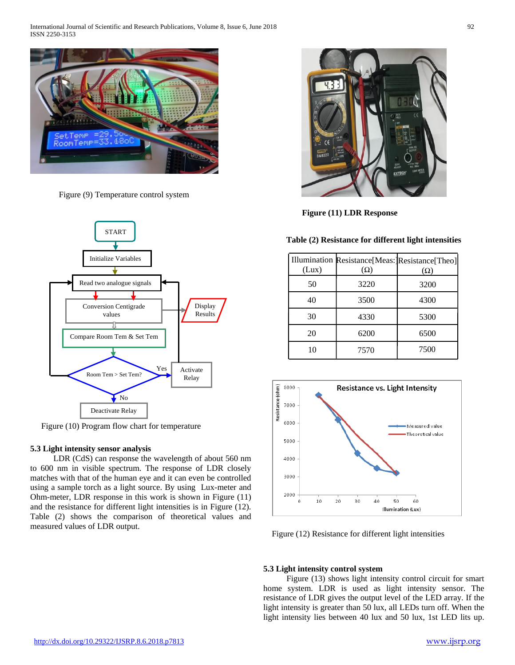International Journal of Scientific and Research Publications, Volume 8, Issue 6, June 2018 92 ISSN 2250-3153



Figure (9) Temperature control system



Figure (10) Program flow chart for temperature

## **5.3 Light intensity sensor analysis**

 LDR (CdS) can response the wavelength of about 560 nm to 600 nm in visible spectrum. The response of LDR closely matches with that of the human eye and it can even be controlled using a sample torch as a light source. By using Lux-meter and Ohm-meter, LDR response in this work is shown in Figure (11) and the resistance for different light intensities is in Figure (12). Table (2) shows the comparison of theoretical values and measured values of LDR output.



**Figure (11) LDR Response**

# **Table (2) Resistance for different light intensities**

| (Lux) | Illumination Resistance[Meas:]Resistance[Theo]<br>$(\Omega)$ | $(\Omega)$ |
|-------|--------------------------------------------------------------|------------|
| 50    | 3220                                                         | 3200       |
| 40    | 3500                                                         | 4300       |
| 30    | 4330                                                         | 5300       |
| 20    | 6200                                                         | 6500       |
| 10    | 7570                                                         | 7500       |



Figure (12) Resistance for different light intensities

## **5.3 Light intensity control system**

 Figure (13) shows light intensity control circuit for smart home system. LDR is used as light intensity sensor. The resistance of LDR gives the output level of the LED array. If the light intensity is greater than 50 lux, all LEDs turn off. When the light intensity lies between 40 lux and 50 lux, 1st LED lits up.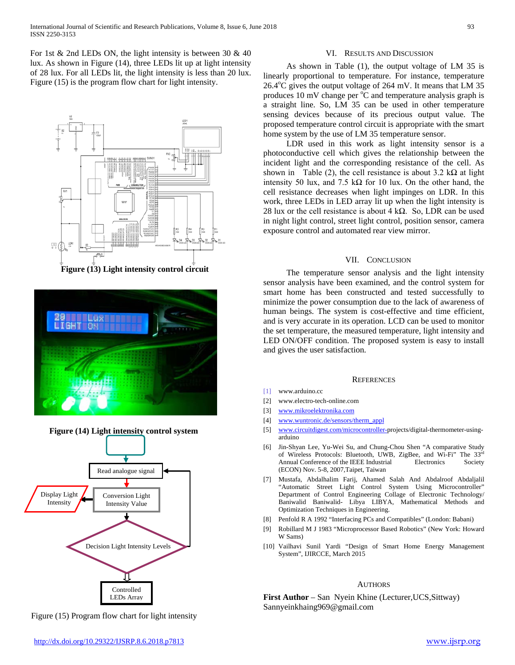For 1st  $\&$  2nd LEDs ON, the light intensity is between 30  $\&$  40 lux. As shown in Figure (14), three LEDs lit up at light intensity of 28 lux. For all LEDs lit, the light intensity is less than 20 lux. Figure (15) is the program flow chart for light intensity.



**Figure (13) Light intensity control circuit**







VI. RESULTS AND DISCUSSION

 As shown in Table (1), the output voltage of LM 35 is linearly proportional to temperature. For instance, temperature 26.4°C gives the output voltage of 264 mV. It means that LM 35 produces 10 mV change per  $\mathrm{C}^{\circ}$  and temperature analysis graph is a straight line. So, LM 35 can be used in other temperature sensing devices because of its precious output value. The proposed temperature control circuit is appropriate with the smart home system by the use of LM 35 temperature sensor.

 LDR used in this work as light intensity sensor is a photoconductive cell which gives the relationship between the incident light and the corresponding resistance of the cell. As shown in Table (2), the cell resistance is about  $3.2 \text{ k}\Omega$  at light intensity 50 lux, and 7.5 k $\Omega$  for 10 lux. On the other hand, the cell resistance decreases when light impinges on LDR. In this work, three LEDs in LED array lit up when the light intensity is 28 lux or the cell resistance is about 4 k $\Omega$ . So, LDR can be used in night light control, street light control, position sensor, camera exposure control and automated rear view mirror.

### VII. CONCLUSION

 The temperature sensor analysis and the light intensity sensor analysis have been examined, and the control system for smart home has been constructed and tested successfully to minimize the power consumption due to the lack of awareness of human beings. The system is cost-effective and time efficient, and is very accurate in its operation. LCD can be used to monitor the set temperature, the measured temperature, light intensity and LED ON/OFF condition. The proposed system is easy to install and gives the user satisfaction.

#### **REFERENCES**

- [1] www.arduino.cc
- [2] www.electro-tech-online.com
- [3] [www.mikroelektronika.com](http://www.mikroelektronika.com/)
- [4] [www.wuntronic.de/sensors/therm\\_appl](http://www.wuntronic.de/sensors/therm_appl)
- [5] [www.circuitdigest.com/microcontroller-p](http://www.circuitdigest.com/microcontroller-)rojects/digital-thermometer-usingarduino
- [6] Jin-Shyan Lee, Yu-Wei Su, and Chung-Chou Shen "A comparative Study of Wireless Protocols: Bluetooth, UWB, ZigBee, and Wi-Fi" The 33rd Annual Conference of the IEEE Industrial Electronics Society (ECON) Nov. 5-8, 2007,Taipet, Taiwan
- [7] Mustafa, Abdalhalim Farij, Ahamed Salah And Abdalroof Abdaljalil "Automatic Street Light Control System Using Microcontroller" Department of Control Engineering Collage of Electronic Technology/ Baniwalid Baniwalid- Libya LIBYA, Mathematical Methods and Optimization Techniques in Engineering.
- [8] Penfold R A 1992 "Interfacing PCs and Compatibles" (London: Babani)
- [9] Robillard M J 1983 "Microprocessor Based Robotics" (New York: Howard W Sams)
- [10] Vailhavi Sunil Yardi "Design of Smart Home Energy Management System", IJIRCCE, March 2015

#### **AUTHORS**

**First Author** – San Nyein Khine (Lecturer, UCS, Sittway) Sannyeinkhaing969@gmail.com

Figure (15) Program flow chart for light intensity